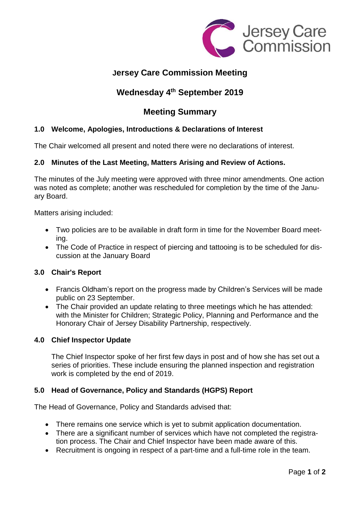

# **Jersey Care Commission Meeting**

# **Wednesday 4 th September 2019**

## **Meeting Summary**

### **1.0 Welcome, Apologies, Introductions & Declarations of Interest**

The Chair welcomed all present and noted there were no declarations of interest.

#### **2.0 Minutes of the Last Meeting, Matters Arising and Review of Actions.**

The minutes of the July meeting were approved with three minor amendments. One action was noted as complete; another was rescheduled for completion by the time of the January Board.

Matters arising included:

- Two policies are to be available in draft form in time for the November Board meeting.
- The Code of Practice in respect of piercing and tattooing is to be scheduled for discussion at the January Board

#### **3.0 Chair's Report**

- Francis Oldham's report on the progress made by Children's Services will be made public on 23 September.
- The Chair provided an update relating to three meetings which he has attended: with the Minister for Children; Strategic Policy, Planning and Performance and the Honorary Chair of Jersey Disability Partnership, respectively.

#### **4.0 Chief Inspector Update**

The Chief Inspector spoke of her first few days in post and of how she has set out a series of priorities. These include ensuring the planned inspection and registration work is completed by the end of 2019.

#### **5.0 Head of Governance, Policy and Standards (HGPS) Report**

The Head of Governance, Policy and Standards advised that:

- There remains one service which is yet to submit application documentation.
- There are a significant number of services which have not completed the registration process. The Chair and Chief Inspector have been made aware of this.
- Recruitment is ongoing in respect of a part-time and a full-time role in the team.